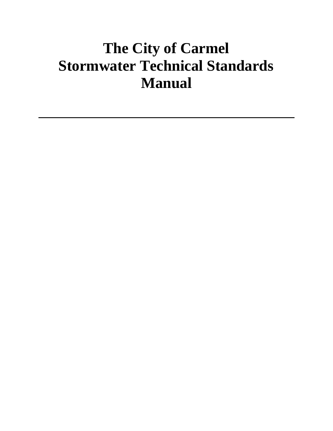# **The City of Carmel Stormwater Technical Standards Manual**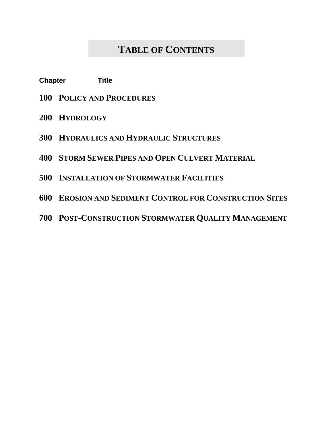### **TABLE OF CONTENTS**

- **Chapter Title**
- **POLICY AND PROCEDURES**
- **HYDROLOGY**
- **HYDRAULICS AND HYDRAULIC STRUCTURES**
- **STORM SEWER PIPES AND OPEN CULVERT MATERIAL**
- **INSTALLATION OF STORMWATER FACILITIES**
- **EROSION AND SEDIMENT CONTROL FOR CONSTRUCTION SITES**
- **POST-CONSTRUCTION STORMWATER QUALITY MANAGEMENT**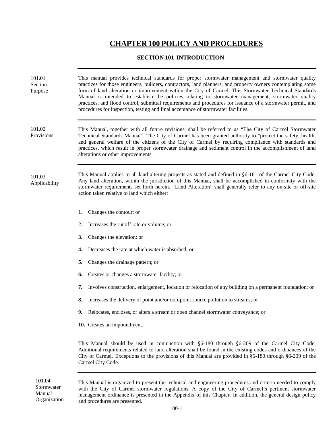#### **CHAPTER 100 POLICY AND PROCEDURES**

#### **SECTION 101 INTRODUCTION**

| 101.01<br>Section<br>Purpose | This manual provides technical standards for proper stormwater management and stormwater quality<br>practices for those engineers, builders, contractors, land planners, and property owners contemplating some<br>form of land alteration or improvement within the City of Carmel. This Stormwater Technical Standards<br>Manual is intended to establish the policies relating to stormwater management, stormwater quality<br>practices, and flood control, submittal requirements and procedures for issuance of a stormwater permit, and<br>procedures for inspection, testing and final acceptance of stormwater facilities. |  |  |  |  |  |  |
|------------------------------|-------------------------------------------------------------------------------------------------------------------------------------------------------------------------------------------------------------------------------------------------------------------------------------------------------------------------------------------------------------------------------------------------------------------------------------------------------------------------------------------------------------------------------------------------------------------------------------------------------------------------------------|--|--|--|--|--|--|
| 101.02<br>Provisions         | This Manual, together with all future revisions, shall be referred to as "The City of Carmel Stormwater<br>Technical Standards Manual". The City of Carmel has been granted authority to "protect the safety, health,<br>and general welfare of the citizens of the City of Carmel by requiring compliance with standards and<br>practices, which result in proper stormwater drainage and sediment control in the accomplishment of land<br>alterations or other improvements.                                                                                                                                                     |  |  |  |  |  |  |
| 101.03<br>Applicability      | This Manual applies to all land altering projects as stated and defined in §6-181 of the Carmel City Code.<br>Any land alteration, within the jurisdiction of this Manual, shall be accomplished in conformity with the<br>stormwater requirements set forth herein. "Land Alteration" shall generally refer to any on-site or off-site<br>action taken relative to land which either:                                                                                                                                                                                                                                              |  |  |  |  |  |  |
|                              | Changes the contour; or<br>1.                                                                                                                                                                                                                                                                                                                                                                                                                                                                                                                                                                                                       |  |  |  |  |  |  |
|                              | Increases the runoff rate or volume; or<br>2.                                                                                                                                                                                                                                                                                                                                                                                                                                                                                                                                                                                       |  |  |  |  |  |  |
|                              | 3.<br>Changes the elevation; or                                                                                                                                                                                                                                                                                                                                                                                                                                                                                                                                                                                                     |  |  |  |  |  |  |
|                              | Decreases the rate at which water is absorbed; or<br>4.                                                                                                                                                                                                                                                                                                                                                                                                                                                                                                                                                                             |  |  |  |  |  |  |
|                              | 5.<br>Changes the drainage pattern; or                                                                                                                                                                                                                                                                                                                                                                                                                                                                                                                                                                                              |  |  |  |  |  |  |
|                              | Creates or changes a stormwater facility; or<br>6.                                                                                                                                                                                                                                                                                                                                                                                                                                                                                                                                                                                  |  |  |  |  |  |  |
|                              | Involves construction, enlargement, location or relocation of any building on a permanent foundation; or<br>7.                                                                                                                                                                                                                                                                                                                                                                                                                                                                                                                      |  |  |  |  |  |  |
|                              | Increases the delivery of point and/or non-point source pollution to streams; or<br>8.                                                                                                                                                                                                                                                                                                                                                                                                                                                                                                                                              |  |  |  |  |  |  |
|                              | <b>9.</b> Relocates, encloses, or alters a stream or open channel stormwater conveyance; or                                                                                                                                                                                                                                                                                                                                                                                                                                                                                                                                         |  |  |  |  |  |  |
|                              | 10. Creates an impoundment.                                                                                                                                                                                                                                                                                                                                                                                                                                                                                                                                                                                                         |  |  |  |  |  |  |
|                              | This Manual should be used in conjunction with $§6-180$ through $§6-209$ of the Carmel City Code.<br>Additional requirements related to land alteration shall be found in the existing codes and ordinances of the<br>City of Carmel. Exceptions to the provisions of this Manual are provided in $§6-180$ through $§6-209$ of the<br>Carmel City Code.                                                                                                                                                                                                                                                                             |  |  |  |  |  |  |
| 101.04                       | This Manual is organized to present the technical and engineering procedures and criteria needed to comply                                                                                                                                                                                                                                                                                                                                                                                                                                                                                                                          |  |  |  |  |  |  |

with the City of Carmel stormwater regulations. A copy of the City of Carmel's pertinent stormwater management ordinance is presented in the Appendix of this Chapter. In addition, the general design policy and procedures are presented.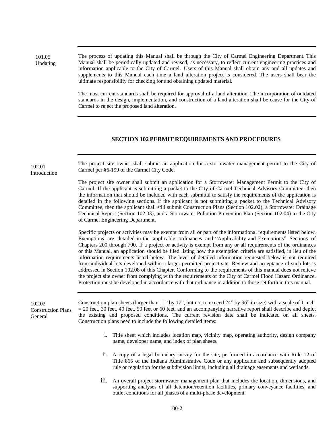101.05 Updating The process of updating this Manual shall be through the City of Carmel Engineering Department. This Manual shall be periodically updated and revised, as necessary, to reflect current engineering practices and information applicable to the City of Carmel. Users of this Manual shall obtain any and all updates and supplements to this Manual each time a land alteration project is considered. The users shall bear the ultimate responsibility for checking for and obtaining updated material.

> The most current standards shall be required for approval of a land alteration. The incorporation of outdated standards in the design, implementation, and construction of a land alteration shall be cause for the City of Carmel to reject the proposed land alteration.

#### **SECTION 102 PERMIT REQUIREMENTS AND PROCEDURES**

The project site owner shall submit an application for a stormwater management permit to the City of Carmel per §6-199 of the Carmel City Code.

102.01 Introduction

> The project site owner shall submit an application for a Stormwater Management Permit to the City of Carmel. If the applicant is submitting a packet to the City of Carmel Technical Advisory Committee, then the information that should be included with each submittal to satisfy the requirements of the application is detailed in the following sections. If the applicant is not submitting a packet to the Technical Advisory Committee, then the applicant shall still submit Construction Plans (Section 102.02), a Stormwater Drainage Technical Report (Section 102.03), and a Stormwater Pollution Prevention Plan (Section 102.04) to the City of Carmel Engineering Department.

> Specific projects or activities may be exempt from all or part of the informational requirements listed below. Exemptions are detailed in the applicable ordinances and "Applicability and Exemptions" Sections of Chapters 200 through 700. If a project or activity is exempt from any or all requirements of the ordinances or this Manual, an application should be filed listing how the exemption criteria are satisfied, in lieu of the information requirements listed below. The level of detailed information requested below is not required from individual lots developed within a larger permitted project site. Review and acceptance of such lots is addressed in Section 102.08 of this Chapter. Conforming to the requirements of this manual does not relieve the project site owner from complying with the requirements of the City of Carmel Flood Hazard Ordinance. Protection must be developed in accordance with that ordinance in addition to those set forth in this manual.

| 102.02<br><b>Construction Plans</b><br>General | Construction plan sheets (larger than 11" by 17", but not to exceed 24" by 36" in size) with a scale of 1 inch<br>$=$ 20 feet, 30 feet, 40 feet, 50 feet or 60 feet, and an accompanying narrative report shall describe and depict<br>the existing and proposed conditions. The current revision date shall be indicated on all sheets.<br>Construction plans need to include the following detailed items: |
|------------------------------------------------|--------------------------------------------------------------------------------------------------------------------------------------------------------------------------------------------------------------------------------------------------------------------------------------------------------------------------------------------------------------------------------------------------------------|
|                                                | i. Title sheet which includes location map, vicinity map, operating authority, design company<br>name, developer name, and index of plan sheets.                                                                                                                                                                                                                                                             |
|                                                | 11. A copy of a legal boundary survey for the site, performed in accordance with Rule 12 of<br>Title 865 of the Indiana Administrative Code or any applicable and subsequently adopted<br>rule or regulation for the subdivision limits, including all drainage easements and wetlands.                                                                                                                      |
|                                                |                                                                                                                                                                                                                                                                                                                                                                                                              |

iii. An overall project stormwater management plan that includes the location, dimensions, and supporting analyses of all detention/retention facilities, primary conveyance facilities, and outlet conditions for all phases of a multi-phase development.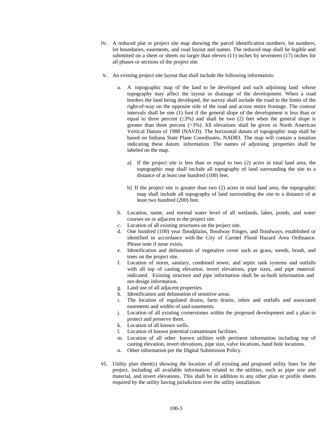- iv. A reduced plat or project site map showing the parcel identification numbers, lot numbers, lot boundaries, easements, and road layout and names. The reduced map shall be legible and submitted on a sheet or sheets no larger than eleven (11) inches by seventeen (17) inches for all phases or sections of the project site.
- v. An existing project site layout that shall include the following information:
	- a. A topographic map of the land to be developed and such adjoining land whose topography may affect the layout or drainage of the development. When a road borders the land being developed, the survey shall include the road to the limits of the right-of-way on the opposite side of the road and across entire frontage. The contour intervals shall be one (1) foot if the general slope of the development is less than or equal to three percent  $(\leq 3\%)$  and shall be two (2) feet when the general slope is greater than three percent  $(>3%)$ . All elevations shall be given in North American Vertical Datum of 1988 (NAVD). The horizontal datum of topographic map shall be based on Indiana State Plane Coordinates, NAD83. The map will contain a notation indicating these datum information. The names of adjoining properties shall be labeled on the map.
		- a] If the project site is less than or equal to two (2) acres in total land area, the topographic map shall include all topography of land surrounding the site to a distance of at least one hundred (100) feet.
		- b] If the project site is greater than two (2) acres in total land area, the topographic map shall include all topography of land surrounding the site to a distance of at least two hundred (200) feet.
	- b. Location, name, and normal water level of all wetlands, lakes, ponds, and water courses on or adjacent to the project site.
	- c. Location of all existing structures on the project site.
	- d. One hundred (100) year floodplains, floodway fringes, and floodways, established or identified in accordance with the City of Carmel Flood Hazard Area Ordinance. Please note if none exists.
	- e. Identification and delineation of vegetative cover such as grass, weeds, brush, and trees on the project site.
	- f. Location of storm, sanitary, combined sewer, and septic tank systems and outfalls with all top of casting elevation, invert elevations, pipe sizes, and pipe material indicated. Existing structure and pipe information shall be as-built information and not design information.
	- g. Land use of all adjacent properties.
	- h. Identification and delineation of sensitive areas.
	- i. The location of regulated drains, farm drains, inlets and outfalls and associated easements and widths of said easements.
	- j. Location of all existing cornerstones within the proposed development and a plan to protect and preserve them.
	- k. Location of all known wells.
	- l. Location of known potential contaminant facilities.
	- m. Location of all other known utilities with pertinent information including top of casting elevation, invert elevations, pipe size, valve locations, hand hole locations.
	- n. Other information per the Digital Submission Policy.
- vi. Utility plan sheet(s) showing the location of all existing and proposed utility lines for the project, including all available information related to the utilities, such as pipe size and material, and invert elevations. This shall be in addition to any other plan or profile sheets required by the utility having jurisdiction over the utility installation.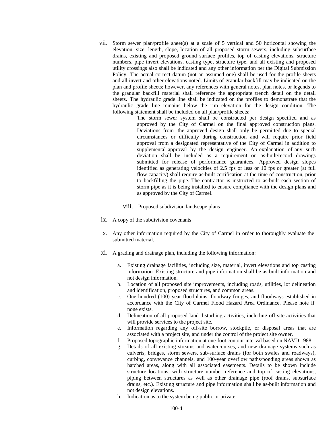vii. Storm sewer plan/profile sheet(s) at a scale of 5 vertical and 50 horizontal showing the elevation, size, length, slope, location of all proposed storm sewers, including subsurface drains, existing and proposed ground surface profiles, top of casting elevations, structure numbers, pipe invert elevations, casting type, structure type, and all existing and proposed utility crossings also shall be indicated and any other information per the Digital Submission Policy. The actual correct datum (not an assumed one) shall be used for the profile sheets and all invert and other elevations noted. Limits of granular backfill may be indicated on the plan and profile sheets; however, any references with general notes, plan notes, or legends to the granular backfill material shall reference the appropriate trench detail on the detail sheets. The hydraulic grade line shall be indicated on the profiles to demonstrate that the hydraulic grade line remains below the rim elevation for the design condition. The following statement shall be included on all plan/profile sheets:

The storm sewer system shall be constructed per design specified and as approved by the City of Carmel on the final approved construction plans. Deviations from the approved design shall only be permitted due to special circumstances or difficulty during construction and will require prior field approval from a designated representative of the City of Carmel in addition to supplemental approval by the design engineer. An explanation of any such deviation shall be included as a requirement on as-built/record drawings submitted for release of performance guarantees. Approved design slopes identified as generating velocities of 2.5 fps or less or 10 fps or greater (at full flow capacity) shall require as-built certification at the time of construction, prior to backfilling the pipe. The contractor is instructed to as-built each section of storm pipe as it is being installed to ensure compliance with the design plans and as approved by the City of Carmel.

- viii. Proposed subdivision landscape plans
- ix. A copy of the subdivision covenants
- x. Any other information required by the City of Carmel in order to thoroughly evaluate the submitted material.
- xi. A grading and drainage plan, including the following information:
	- a. Existing drainage facilities, including size, material, invert elevations and top casting information. Existing structure and pipe information shall be as-built information and not design information.
	- b. Location of all proposed site improvements, including roads, utilities, lot delineation and identification, proposed structures, and common areas.
	- c. One hundred (100) year floodplains, floodway fringes, and floodways established in accordance with the City of Carmel Flood Hazard Area Ordinance. Please note if none exists.
	- d. Delineation of all proposed land disturbing activities, including off-site activities that will provide services to the project site.
	- e. Information regarding any off-site borrow, stockpile, or disposal areas that are associated with a project site, and under the control of the project site owner.
	- f. Proposed topographic information at one-foot contour interval based on NAVD 1988.
	- g. Details of all existing streams and watercourses, and new drainage systems such as culverts, bridges, storm sewers, sub-surface drains (for both swales and roadways), curbing, conveyance channels, and 100-year overflow paths/ponding areas shown as hatched areas, along with all associated easements. Details to be shown include structure locations, with structure number reference and top of casting elevations, piping between structures as well as other drainage pipe (roof drains, subsurface drains, etc.). Existing structure and pipe information shall be as-built information and not design elevations.
	- h. Indication as to the system being public or private.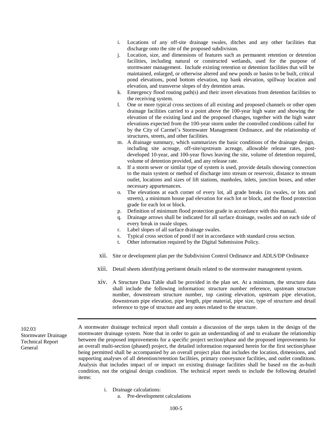- i. Locations of any off-site drainage swales, ditches and any other facilities that discharge onto the site of the proposed subdivision.
- j. Location, size, and dimensions of features such as permanent retention or detention facilities, including natural or constructed wetlands, used for the purpose of stormwater management. Include existing retention or detention facilities that will be maintained, enlarged, or otherwise altered and new ponds or basins to be built, critical pond elevations, pond bottom elevation, top bank elevation, spillway location and elevation, and transverse slopes of dry detention areas.
- k. Emergency flood routing path(s) and their invert elevations from detention facilities to the receiving system.
- l. One or more typical cross sections of all existing and proposed channels or other open drainage facilities carried to a point above the 100-year high water and showing the elevation of the existing land and the proposed changes, together with the high water elevations expected from the 100-year storm under the controlled conditions called for by the City of Carmel's Stormwater Management Ordinance, and the relationship of structures, streets, and other facilities.
- m. A drainage summary, which summarizes the basic conditions of the drainage design, including site acreage, off-site/upstream acreage, allowable release rates, postdeveloped 10-year, and 100-year flows leaving the site, volume of detention required, volume of detention provided, and any release rate.
- n. If a storm sewer or similar type of system is used, provide details showing connection to the main system or method of discharge into stream or reservoir, distance to stream outlet, locations and sizes of lift stations, manholes, inlets, junction boxes, and other necessary appurtenances.
- o. The elevations at each corner of every lot, all grade breaks (in swales, or lots and streets), a minimum house pad elevation for each lot or block, and the flood protection grade for each lot or block.
- p. Definition of minimum flood protection grade in accordance with this manual.
- q. Drainage arrows shall be indicated for all surface drainage, swales and on each side of every break in swale slopes.
- r. Label slopes of all surface drainage swales.
- s. Typical cross section of pond if not in accordance with standard cross section.
- t. Other information required by the Digital Submission Policy.
- xii. Site or development plan per the Subdivision Control Ordinance and ADLS/DP Ordinance
- xiii. Detail sheets identifying pertinent details related to the stormwater management system.
- xiv. A Structure Data Table shall be provided in the plan set. At a minimum, the structure data shall include the following information: structure number reference, upstream structure number, downstream structure number, top casting elevation, upstream pipe elevation, downstream pipe elevation, pipe length, pipe material, pipe size, type of structure and detail reference to type of structure and any notes related to the structure.

102.03 Stormwater Drainage Technical Report General

A stormwater drainage technical report shall contain a discussion of the steps taken in the design of the stormwater drainage system. Note that in order to gain an understanding of and to evaluate the relationship between the proposed improvements for a specific project section/phase and the proposed improvements for an overall multi-section (phased) project, the detailed information requested herein for the first section/phase being permitted shall be accompanied by an overall project plan that includes the location, dimensions, and supporting analyses of all detention/retention facilities, primary conveyance facilities, and outlet conditions. Analysis that includes impact of or impact on existing drainage facilities shall be based on the as-built condition, not the original design condition. The technical report needs to include the following detailed items:

- i. Drainage calculations:
	- a. Pre-development calculations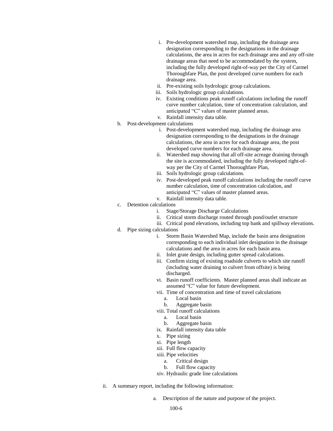- i. Pre-development watershed map, including the drainage area designation corresponding to the designations in the drainage calculations, the area in acres for each drainage area and any off-site drainage areas that need to be accommodated by the system, including the fully developed right-of-way per the City of Carmel Thoroughfare Plan, the post developed curve numbers for each drainage area.
- ii. Pre-existing soils hydrologic group calculations.
- iii. Soils hydrologic group calculations.
- iv. Existing conditions peak runoff calculations including the runoff curve number calculation, time of concentration calculation, and anticipated "C" values of master planned areas.
- v. Rainfall intensity data table.
- b. Post-development calculations
	- i. Post-development watershed map, including the drainage area designation corresponding to the designations in the drainage calculations, the area in acres for each drainage area, the post developed curve numbers for each drainage area.
	- ii. Watershed map showing that all off-site acreage draining through the site is accommodated, including the fully developed right-ofway per the City of Carmel Thoroughfare Plan,
	- iii. Soils hydrologic group calculations.
	- iv. Post-developed peak runoff calculations including the runoff curve number calculation, time of concentration calculation, and anticipated "C" values of master planned areas.
	- v. Rainfall intensity data table.
- c. Detention calculations
	- i. Stage/Storage Discharge Calculations
	- ii. Critical storm discharge routed through pond/outlet structure
	- iii. Critical pond elevations, including top bank and spillway elevations.
- d. Pipe sizing calculations
	- i. Storm Basin Watershed Map, include the basin area designation corresponding to each individual inlet designation in the drainage calculations and the area in acres for each basin area.
	- ii. Inlet grate design, including gutter spread calculations.
	- iii. Confirm sizing of existing roadside culverts to which site runoff (including water draining to culvert from offsite) is being discharged.
	- vi. Basin runoff coefficients. Master planned areas shall indicate an assumed "C" value for future development.
	- vii. Time of concentration and time of travel calculations
		- a. Local basin
		- b. Aggregate basin
	- viii. Total runoff calculations
		- a. Local basin
		- b. Aggregate basin
	- ix. Rainfall intensity data table
	- x. Pipe sizing
	- xi. Pipe length
	- xii. Full flow capacity
	- xiii. Pipe velocities
		- a. Critical design
		- b. Full flow capacity
	- xiv. Hydraulic grade line calculations
- ii. A summary report, including the following information:
	- a. Description of the nature and purpose of the project.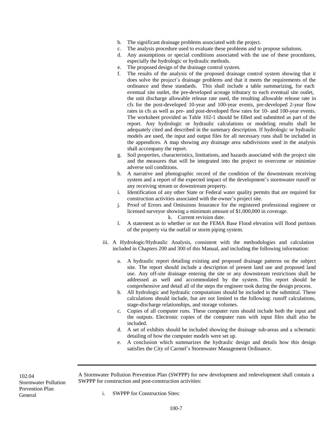- b. The significant drainage problems associated with the project.
- c. The analysis procedure used to evaluate these problems and to propose solutions.
- d. Any assumptions or special conditions associated with the use of these procedures, especially the hydrologic or hydraulic methods.
- e. The proposed design of the drainage control system.
- f. The results of the analysis of the proposed drainage control system showing that it does solve the project's drainage problems and that it meets the requirements of the ordinance and these standards. This shall include a table summarizing, for each eventual site outlet, the pre-developed acreage tributary to each eventual site outlet, the unit discharge allowable release rate used, the resulting allowable release rate in cfs for the post-developed 10-year and 100-year events, pre-developed 2-year flow rates in cfs as well as pre- and post-developed flow rates for 10- and 100-year events. The worksheet provided as Table 102-1 should be filled and submitted as part of the report. Any hydrologic or hydraulic calculations or modeling results shall be adequately cited and described in the summary description. If hydrologic or hydraulic models are used, the input and output files for all necessary runs shall be included in the appendices. A map showing any drainage area subdivisions used in the analysis shall accompany the report.
- g. Soil properties, characteristics, limitations, and hazards associated with the project site and the measures that will be integrated into the project to overcome or minimize adverse soil conditions.
- h. A narrative and photographic record of the condition of the downstream receiving system and a report of the expected impact of the development's stormwater runoff or any receiving stream or downstream property.
- i. Identification of any other State or Federal water quality permits that are required for construction activities associated with the owner's project site.
- j. Proof of Errors and Omissions Insurance for the registered professional engineer or licensed surveyor showing a minimum amount of \$1,000,000 in coverage.
	- k. Current revision date.
- l. A statement as to whether or not the FEMA Base Flood elevation will flood portions of the property via the outfall or storm piping system.
- iii. A Hydrologic/Hydraulic Analysis, consistent with the methodologies and calculation included in Chapters 200 and 300 of this Manual, and including the following information:
	- a. A hydraulic report detailing existing and proposed drainage patterns on the subject site. The report should include a description of present land use and proposed land use. Any off-site drainage entering the site or any downstream restrictions shall be addressed as well and accommodated by the system. This report should be comprehensive and detail all of the steps the engineer took during the design process.
	- b. All hydrologic and hydraulic computations should be included in the submittal. These calculations should include, but are not limited to the following: runoff calculations, stage-discharge relationships, and storage volumes.
	- c. Copies of all computer runs. These computer runs should include both the input and the outputs. Electronic copies of the computer runs with input files shall also be included.
	- d. A set of exhibits should be included showing the drainage sub-areas and a schematic detailing of how the computer models were set up.
	- e. A conclusion which summarizes the hydraulic design and details how this design satisfies the City of Carmel's Stormwater Management Ordinance.

102.04 Stormwater Pollution Prevention Plan General

A Stormwater Pollution Prevention Plan (SWPPP) for new development and redevelopment shall contain a SWPPP for construction and post-construction activities:

i. SWPPP for Construction Sites: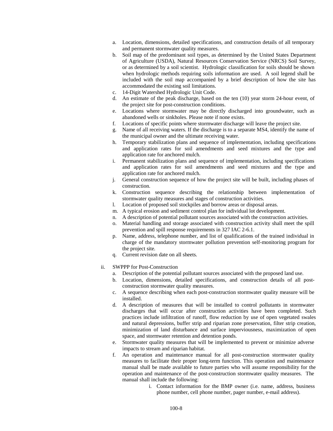- a. Location, dimensions, detailed specifications, and construction details of all temporary and permanent stormwater quality measures.
- b. Soil map of the predominant soil types, as determined by the United States Department of Agriculture (USDA), Natural Resources Conservation Service (NRCS) Soil Survey, or as determined by a soil scientist. Hydrologic classification for soils should be shown when hydrologic methods requiring soils information are used. A soil legend shall be included with the soil map accompanied by a brief description of how the site has accommodated the existing soil limitations.
- c. 14-Digit Watershed Hydrologic Unit Code.
- d. An estimate of the peak discharge, based on the ten (10) year storm 24-hour event, of the project site for post-construction conditions.
- e. Locations where stormwater may be directly discharged into groundwater, such as abandoned wells or sinkholes. Please note if none exists.
- f. Locations of specific points where stormwater discharge will leave the project site.
- g. Name of all receiving waters. If the discharge is to a separate MS4, identify the name of the municipal owner and the ultimate receiving water.
- h. Temporary stabilization plans and sequence of implementation, including specifications and application rates for soil amendments and seed mixtures and the type and application rate for anchored mulch.
- i. Permanent stabilization plans and sequence of implementation, including specifications and application rates for soil amendments and seed mixtures and the type and application rate for anchored mulch.
- j. General construction sequence of how the project site will be built, including phases of construction.
- k. Construction sequence describing the relationship between implementation of stormwater quality measures and stages of construction activities.
- l. Location of proposed soil stockpiles and borrow areas or disposal areas.
- m. A typical erosion and sediment control plan for individual lot development.
- n. A description of potential pollutant sources associated with the construction activities.
- o. Material handling and storage associated with construction activity shall meet the spill prevention and spill response requirements in 327 IAC 2-6.1.
- p. Name, address, telephone number, and list of qualifications of the trained individual in charge of the mandatory stormwater pollution prevention self-monitoring program for the project site.
- q. Current revision date on all sheets.
- ii. SWPPP for Post-Construction
	- a. Description of the potential pollutant sources associated with the proposed land use.
	- b. Location, dimensions, detailed specifications, and construction details of all postconstruction stormwater quality measures.
	- c. A sequence describing when each post-construction stormwater quality measure will be installed.
	- d. A description of measures that will be installed to control pollutants in stormwater discharges that will occur after construction activities have been completed. Such practices include infiltration of runoff, flow reduction by use of open vegetated swales and natural depressions, buffer strip and riparian zone preservation, filter strip creation, minimization of land disturbance and surface imperviousness, maximization of open space, and stormwater retention and detention ponds.
	- e. Stormwater quality measures that will be implemented to prevent or minimize adverse impacts to stream and riparian habitat.
	- f. An operation and maintenance manual for all post-construction stormwater quality measures to facilitate their proper long-term function. This operation and maintenance manual shall be made available to future parties who will assume responsibility for the operation and maintenance of the post-construction stormwater quality measures. The manual shall include the following:
		- i. Contact information for the BMP owner (i.e. name, address, business phone number, cell phone number, pager number, e-mail address).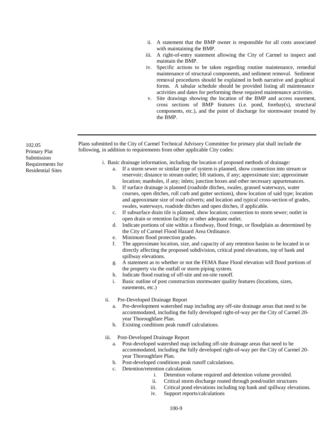- ii. A statement that the BMP owner is responsible for all costs associated with maintaining the BMP.
- iii. A right-of-entry statement allowing the City of Carmel to inspect and maintain the BMP.
- iv. Specific actions to be taken regarding routine maintenance, remedial maintenance of structural components, and sediment removal. Sediment removal procedures should be explained in both narrative and graphical forms. A tabular schedule should be provided listing all maintenance activities and dates for performing these required maintenance activities.
- v. Site drawings showing the location of the BMP and access easement, cross sections of BMP features (i.e. pond, forebay(s), structural components, etc.), and the point of discharge for stormwater treated by the BMP.

Plans submitted to the City of Carmel Technical Advisory Committee for primary plat shall include the following, in addition to requirements from other applicable City codes:

- i. Basic drainage information, including the location of proposed methods of drainage:
	- a. If a storm sewer or similar type of system is planned, show connection into stream or reservoir; distance to stream outlet; lift stations, if any; approximate size; approximate location; manholes, if any; inlets; junction boxes and other necessary appurtenances.
	- b. If surface drainage is planned (roadside ditches, swales, grassed waterways, water courses, open ditches, roll curb and gutter sections), show location of said type; location and approximate size of road culverts; and location and typical cross-section of grades, swales, waterways, roadside ditches and open ditches, if applicable.
	- c. If subsurface drain tile is planned, show location; connection to storm sewer; outlet in open drain or retention facility or other adequate outlet.
	- d. Indicate portions of site within a floodway, flood fringe, or floodplain as determined by the City of Carmel Flood Hazard Area Ordinance.
	- e. Minimum flood protection grades.
	- f. The approximate location, size, and capacity of any retention basins to be located in or directly affecting the proposed subdivision, critical pond elevations, top of bank and spillway elevations.
	- g. A statement as to whether or not the FEMA Base Flood elevation will flood portions of the property via the outfall or storm piping system.
	- h. Indicate flood routing of off-site and on-site runoff.
	- i. Basic outline of post construction stormwater quality features (locations, sizes, easements, etc.)
	- ii. Pre-Developed Drainage Report
		- a. Pre-development watershed map including any off-site drainage areas that need to be accommodated, including the fully developed right-of-way per the City of Carmel 20 year Thoroughfare Plan.
		- b. Existing conditions peak runoff calculations.
	- iii. Post-Developed Drainage Report
		- a. Post-developed watershed map including off-site drainage areas that need to be accommodated, including the fully developed right-of-way per the City of Carmel 20 year Thoroughfare Plan.
		- b. Post-developed conditions peak runoff calculations.
		- c. Detention/retention calculations
			- i. Detention volume required and detention volume provided.
			- ii. Critical storm discharge routed through pond/outlet structures
			- iii. Critical pond elevations including top bank and spillway elevations.
			- iv. Support reports/calculations

102.05 Primary Plat Submission Requirements for Residential Sites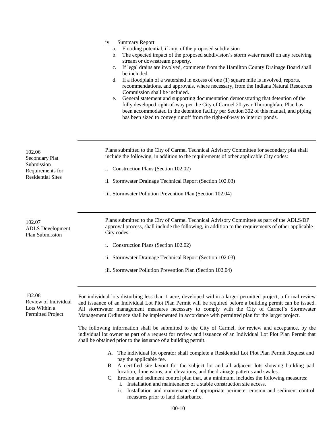| 1V. | <b>Summary Report</b> |
|-----|-----------------------|
|-----|-----------------------|

- a. Flooding potential, if any, of the proposed subdivision
- b. The expected impact of the proposed subdivision's storm water runoff on any receiving stream or downstream property.
- c. If legal drains are involved, comments from the Hamilton County Drainage Board shall be included.
- d. If a floodplain of a watershed in excess of one (1) square mile is involved, reports, recommendations, and approvals, where necessary, from the Indiana Natural Resources Commission shall be included.
- e. General statement and supporting documentation demonstrating that detention of the fully developed right-of-way per the City of Carmel 20-year Thoroughfare Plan has been accommodated in the detention facility per Section 302 of this manual, and piping has been sized to convey runoff from the right-of-way to interior ponds.

102.06 Secondary Plat Submission Requirements for Residential Sites 102.07 ADLS Development Plan Submission Plans submitted to the City of Carmel Technical Advisory Committee for secondary plat shall include the following, in addition to the requirements of other applicable City codes: i. Construction Plans (Section 102.02) ii. Stormwater Drainage Technical Report (Section 102.03) iii. Stormwater Pollution Prevention Plan (Section 102.04) Plans submitted to the City of Carmel Technical Advisory Committee as part of the ADLS/DP approval process, shall include the following, in addition to the requirements of other applicable City codes: i. Construction Plans (Section 102.02) ii. Stormwater Drainage Technical Report (Section 102.03) iii. Stormwater Pollution Prevention Plan (Section 102.04) 102.08 For individual lots disturbing less than 1 acre, developed within a larger permitted project, a formal review

Review of Individual Lots Within a Permitted Project

and issuance of an Individual Lot Plot Plan Permit will be required before a building permit can be issued. All stormwater management measures necessary to comply with the City of Carmel's Stormwater Management Ordinance shall be implemented in accordance with permitted plan for the larger project.

The following information shall be submitted to the City of Carmel, for review and acceptance, by the individual lot owner as part of a request for review and issuance of an Individual Lot Plot Plan Permit that shall be obtained prior to the issuance of a building permit.

- A. The individual lot operator shall complete a Residential Lot Plot Plan Permit Request and pay the applicable fee.
- B. A certified site layout for the subject lot and all adjacent lots showing building pad location, dimensions, and elevations, and the drainage patterns and swales.
- C. Erosion and sediment control plan that, at a minimum, includes the following measures: i. Installation and maintenance of a stable construction site access.
	- ii. Installation and maintenance of appropriate perimeter erosion and sediment control measures prior to land disturbance.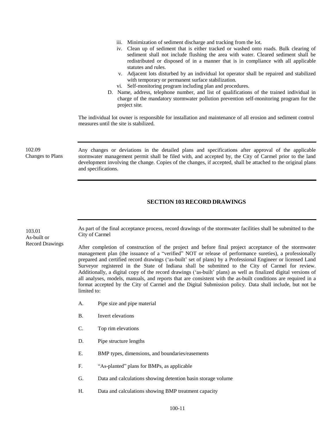- iii. Minimization of sediment discharge and tracking from the lot.
- iv. Clean up of sediment that is either tracked or washed onto roads. Bulk clearing of sediment shall not include flushing the area with water. Cleared sediment shall be redistributed or disposed of in a manner that is in compliance with all applicable statutes and rules.
- v. Adjacent lots disturbed by an individual lot operator shall be repaired and stabilized with temporary or permanent surface stabilization.
- vi. Self-monitoring program including plan and procedures.
- D. Name, address, telephone number, and list of qualifications of the trained individual in charge of the mandatory stormwater pollution prevention self-monitoring program for the project site.

The individual lot owner is responsible for installation and maintenance of all erosion and sediment control measures until the site is stabilized.

102.09 Changes to Plans Any changes or deviations in the detailed plans and specifications after approval of the applicable stormwater management permit shall be filed with, and accepted by, the City of Carmel prior to the land development involving the change. Copies of the changes, if accepted, shall be attached to the original plans and specifications.

#### **SECTION 103 RECORD DRAWINGS**

103.01 As-built or Record Drawings

As part of the final acceptance process, record drawings of the stormwater facilities shall be submitted to the City of Carmel

After completion of construction of the project and before final project acceptance of the stormwater management plan (the issuance of a "verified" NOT or release of performance sureties), a professionally prepared and certified record drawings ('as-built' set of plans) by a Professional Engineer or licensed Land Surveyor registered in the State of Indiana shall be submitted to the City of Carmel for review. Additionally, a digital copy of the record drawings ('as-built' plans) as well as finalized digital versions of all analyses, models, manuals, and reports that are consistent with the as-built conditions are required in a format accepted by the City of Carmel and the Digital Submission policy. Data shall include, but not be limited to:

- A. Pipe size and pipe material
- B. Invert elevations
- C. Top rim elevations
- D. Pipe structure lengths
- E. BMP types, dimensions, and boundaries/easements
- F. "As-planted" plans for BMPs, as applicable
- G. Data and calculations showing detention basin storage volume
- H. Data and calculations showing BMP treatment capacity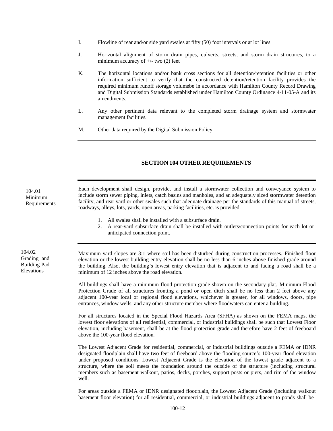- I. Flowline of rear and/or side yard swales at fifty (50) foot intervals or at lot lines
- J. Horizontal alignment of storm drain pipes, culverts, streets, and storm drain structures, to a minimum accuracy of  $+/-$  two (2) feet
- K. The horizontal locations and/or bank cross sections for all detention/retention facilities or other information sufficient to verify that the constructed detention/retention facility provides the required minimum runoff storage volumebe in accordance with Hamilton County Record Drawing and Digital Submission Standards established under Hamilton County Ordinance 4-11-05-A and its amendments.
- L. Any other pertinent data relevant to the completed storm drainage system and stormwater management facilities.
- M. Other data required by the Digital Submission Policy.

#### **SECTION 104 OTHER REQUIREMENTS**

Each development shall design, provide, and install a stormwater collection and conveyance system to include storm sewer piping, inlets, catch basins and manholes, and an adequately sized stormwater detention facility, and rear yard or other swales such that adequate drainage per the standards of this manual of streets, roadways, alleys, lots, yards, open areas, parking facilities, etc. is provided.

- 1. All swales shall be installed with a subsurface drain.
- 2. A rear-yard subsurface drain shall be installed with outlets/connection points for each lot or anticipated connection point.

Maximum yard slopes are 3:1 where soil has been disturbed during construction processes. Finished floor elevation or the lowest building entry elevation shall be no less than 6 inches above finished grade around the building. Also, the building's lowest entry elevation that is adjacent to and facing a road shall be a minimum of 12 inches above the road elevation.

All buildings shall have a minimum flood protection grade shown on the secondary plat. Minimum Flood Protection Grade of all structures fronting a pond or open ditch shall be no less than 2 feet above any adjacent 100-year local or regional flood elevations, whichever is greater, for all windows, doors, pipe entrances, window wells, and any other structure member where floodwaters can enter a building.

For all structures located in the Special Flood Hazards Area (SFHA) as shown on the FEMA maps, the lowest floor elevations of all residential, commercial, or industrial buildings shall be such that Lowest Floor elevation, including basement, shall be at the flood protection grade and therefore have 2 feet of freeboard above the 100-year flood elevation.

The Lowest Adjacent Grade for residential, commercial, or industrial buildings outside a FEMA or IDNR designated floodplain shall have two feet of freeboard above the flooding source's 100-year flood elevation under proposed conditions. Lowest Adjacent Grade is the elevation of the lowest grade adjacent to a structure, where the soil meets the foundation around the outside of the structure (including structural members such as basement walkout, patios, decks, porches, support posts or piers, and rim of the window well.

For areas outside a FEMA or IDNR designated floodplain, the Lowest Adjacent Grade (including walkout basement floor elevation) for all residential, commercial, or industrial buildings adjacent to ponds shall be

104.02 Grading and Building Pad Elevations

104.01 Minimum Requirements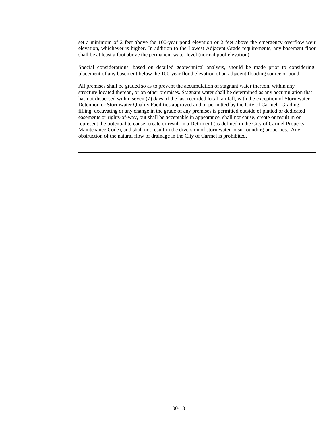set a minimum of 2 feet above the 100-year pond elevation or 2 feet above the emergency overflow weir elevation, whichever is higher. In addition to the Lowest Adjacent Grade requirements, any basement floor shall be at least a foot above the permanent water level (normal pool elevation).

Special considerations, based on detailed geotechnical analysis, should be made prior to considering placement of any basement below the 100-year flood elevation of an adjacent flooding source or pond.

All premises shall be graded so as to prevent the accumulation of stagnant water thereon, within any structure located thereon, or on other premises. Stagnant water shall be determined as any accumulation that has not dispersed within seven (7) days of the last recorded local rainfall, with the exception of Stormwater Detention or Stormwater Quality Facilities approved and or permitted by the City of Carmel. Grading, filling, excavating or any change in the grade of any premises is permitted outside of platted or dedicated easements or rights-of-way, but shall be acceptable in appearance, shall not cause, create or result in or represent the potential to cause, create or result in a Detriment (as defined in the City of Carmel Property Maintenance Code), and shall not result in the diversion of stormwater to surrounding properties. Any obstruction of the natural flow of drainage in the City of Carmel is prohibited.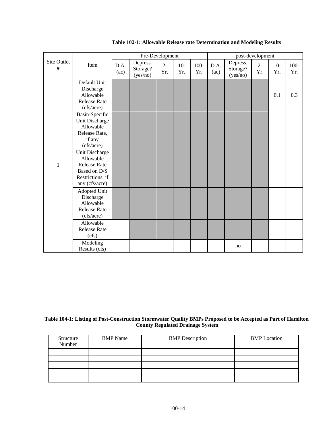|                  |                                                                                                          | Pre-Development |                                  |              |              |                | post-development |                                  |              |              |                |
|------------------|----------------------------------------------------------------------------------------------------------|-----------------|----------------------------------|--------------|--------------|----------------|------------------|----------------------------------|--------------|--------------|----------------|
| Site Outlet<br># | Item                                                                                                     | D.A.<br>(ac)    | Depress.<br>Storage?<br>(yes/no) | $2 -$<br>Yr. | $10-$<br>Yr. | $100 -$<br>Yr. | D.A.<br>(ac)     | Depress.<br>Storage?<br>(yes/no) | $2 -$<br>Yr. | $10-$<br>Yr. | $100 -$<br>Yr. |
| $\,1\,$          | Default Unit<br>Discharge<br>Allowable<br><b>Release Rate</b><br>(cfs/acre)                              |                 |                                  |              |              |                |                  |                                  |              | 0.1          | 0.3            |
|                  | Basin-Specific<br>Unit Discharge<br>Allowable<br>Release Rate,<br>if any<br>(cfs/acre)                   |                 |                                  |              |              |                |                  |                                  |              |              |                |
|                  | Unit Discharge<br>Allowable<br><b>Release Rate</b><br>Based on D/S<br>Restrictions, if<br>any (cfs/acre) |                 |                                  |              |              |                |                  |                                  |              |              |                |
|                  | Adopted Unit<br>Discharge<br>Allowable<br><b>Release Rate</b><br>(cfs/acre)                              |                 |                                  |              |              |                |                  |                                  |              |              |                |
|                  | Allowable<br><b>Release Rate</b><br>(cfs)                                                                |                 |                                  |              |              |                |                  |                                  |              |              |                |
|                  | Modeling<br>Results (cfs)                                                                                |                 |                                  |              |              |                |                  | no                               |              |              |                |

#### **Table 102-1: Allowable Release rate Determination and Modeling Results**

#### **Table 104-1: Listing of Post-Construction Stormwater Quality BMPs Proposed to be Accepted as Part of Hamilton County Regulated Drainage System**

| Structure<br>Number | <b>BMP</b> Name | <b>BMP</b> Description | <b>BMP</b> Location |
|---------------------|-----------------|------------------------|---------------------|
|                     |                 |                        |                     |
|                     |                 |                        |                     |
|                     |                 |                        |                     |
|                     |                 |                        |                     |
|                     |                 |                        |                     |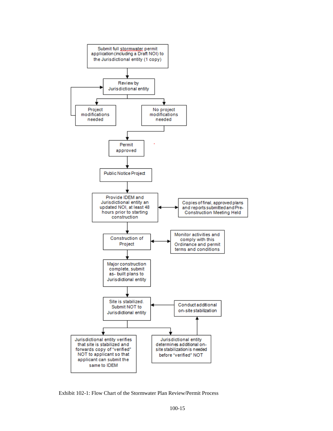

Exhibit 102-1: Flow Chart of the Stormwater Plan Review/Permit Process